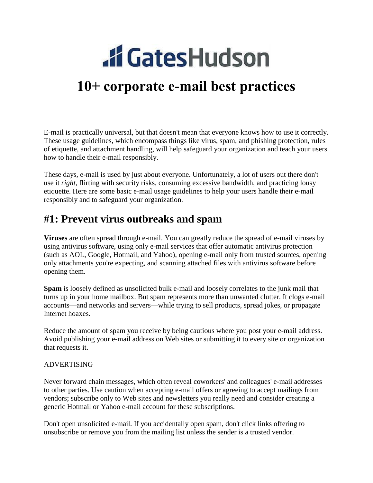# **.ff GatesHudson**

## **10+ corporate e-mail best practices**

E-mail is practically universal, but that doesn't mean that everyone knows how to use it correctly. These usage guidelines, which encompass things like virus, spam, and phishing protection, rules of etiquette, and attachment handling, will help safeguard your organization and teach your users how to handle their e-mail responsibly.

These days, e-mail is used by just about everyone. Unfortunately, a lot of users out there don't use it *right*, flirting with security risks, consuming excessive bandwidth, and practicing lousy etiquette. Here are some basic e-mail usage guidelines to help your users handle their e-mail responsibly and to safeguard your organization.

## **#1: Prevent virus outbreaks and spam**

**Viruses** are often spread through e-mail. You can greatly reduce the spread of e-mail viruses by using antivirus software, using only e-mail services that offer automatic antivirus protection (such as AOL, Google, Hotmail, and Yahoo), opening e-mail only from trusted sources, opening only attachments you're expecting, and scanning attached files with antivirus software before opening them.

**Spam** is loosely defined as unsolicited bulk e-mail and loosely correlates to the junk mail that turns up in your home mailbox. But spam represents more than unwanted clutter. It clogs e-mail accounts—and networks and servers—while trying to sell products, spread jokes, or propagate Internet hoaxes.

Reduce the amount of spam you receive by being cautious where you post your e-mail address. Avoid publishing your e-mail address on Web sites or submitting it to every site or organization that requests it.

#### ADVERTISING

Never forward chain messages, which often reveal coworkers' and colleagues' e-mail addresses to other parties. Use caution when accepting e-mail offers or agreeing to accept mailings from vendors; subscribe only to Web sites and newsletters you really need and consider creating a generic Hotmail or Yahoo e-mail account for these subscriptions.

Don't open unsolicited e-mail. If you accidentally open spam, don't click links offering to unsubscribe or remove you from the mailing list unless the sender is a trusted vendor.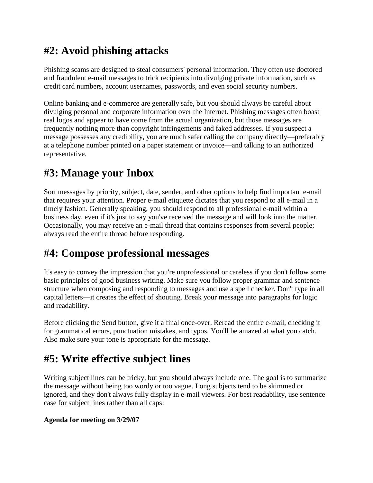## **#2: Avoid phishing attacks**

Phishing scams are designed to steal consumers' personal information. They often use doctored and fraudulent e-mail messages to trick recipients into divulging private information, such as credit card numbers, account usernames, passwords, and even social security numbers.

Online banking and e-commerce are generally safe, but you should always be careful about divulging personal and corporate information over the Internet. Phishing messages often boast real logos and appear to have come from the actual organization, but those messages are frequently nothing more than copyright infringements and faked addresses. If you suspect a message possesses any credibility, you are much safer calling the company directly—preferably at a telephone number printed on a paper statement or invoice—and talking to an authorized representative.

## **#3: Manage your Inbox**

Sort messages by priority, subject, date, sender, and other options to help find important e-mail that requires your attention. Proper e-mail etiquette dictates that you respond to all e-mail in a timely fashion. Generally speaking, you should respond to all professional e-mail within a business day, even if it's just to say you've received the message and will look into the matter. Occasionally, you may receive an e-mail thread that contains responses from several people; always read the entire thread before responding.

## **#4: Compose professional messages**

It's easy to convey the impression that you're unprofessional or careless if you don't follow some basic principles of good business writing. Make sure you follow proper grammar and sentence structure when composing and responding to messages and use a spell checker. Don't type in all capital letters—it creates the effect of shouting. Break your message into paragraphs for logic and readability.

Before clicking the Send button, give it a final once-over. Reread the entire e-mail, checking it for grammatical errors, punctuation mistakes, and typos. You'll be amazed at what you catch. Also make sure your tone is appropriate for the message.

## **#5: Write effective subject lines**

Writing subject lines can be tricky, but you should always include one. The goal is to summarize the message without being too wordy or too vague. Long subjects tend to be skimmed or ignored, and they don't always fully display in e-mail viewers. For best readability, use sentence case for subject lines rather than all caps:

#### **Agenda for meeting on 3/29/07**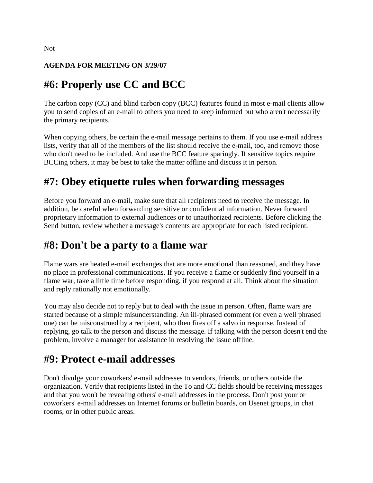#### **AGENDA FOR MEETING ON 3/29/07**

## **#6: Properly use CC and BCC**

The carbon copy (CC) and blind carbon copy (BCC) features found in most e-mail clients allow you to send copies of an e-mail to others you need to keep informed but who aren't necessarily the primary recipients.

When copying others, be certain the e-mail message pertains to them. If you use e-mail address lists, verify that all of the members of the list should receive the e-mail, too, and remove those who don't need to be included. And use the BCC feature sparingly. If sensitive topics require BCCing others, it may be best to take the matter offline and discuss it in person.

## **#7: Obey etiquette rules when forwarding messages**

Before you forward an e-mail, make sure that all recipients need to receive the message. In addition, be careful when forwarding sensitive or confidential information. Never forward proprietary information to external audiences or to unauthorized recipients. Before clicking the Send button, review whether a message's contents are appropriate for each listed recipient.

## **#8: Don't be a party to a flame war**

Flame wars are heated e-mail exchanges that are more emotional than reasoned, and they have no place in professional communications. If you receive a flame or suddenly find yourself in a flame war, take a little time before responding, if you respond at all. Think about the situation and reply rationally not emotionally.

You may also decide not to reply but to deal with the issue in person. Often, flame wars are started because of a simple misunderstanding. An ill-phrased comment (or even a well phrased one) can be misconstrued by a recipient, who then fires off a salvo in response. Instead of replying, go talk to the person and discuss the message. If talking with the person doesn't end the problem, involve a manager for assistance in resolving the issue offline.

## **#9: Protect e-mail addresses**

Don't divulge your coworkers' e-mail addresses to vendors, friends, or others outside the organization. Verify that recipients listed in the To and CC fields should be receiving messages and that you won't be revealing others' e-mail addresses in the process. Don't post your or coworkers' e-mail addresses on Internet forums or bulletin boards, on Usenet groups, in chat rooms, or in other public areas.